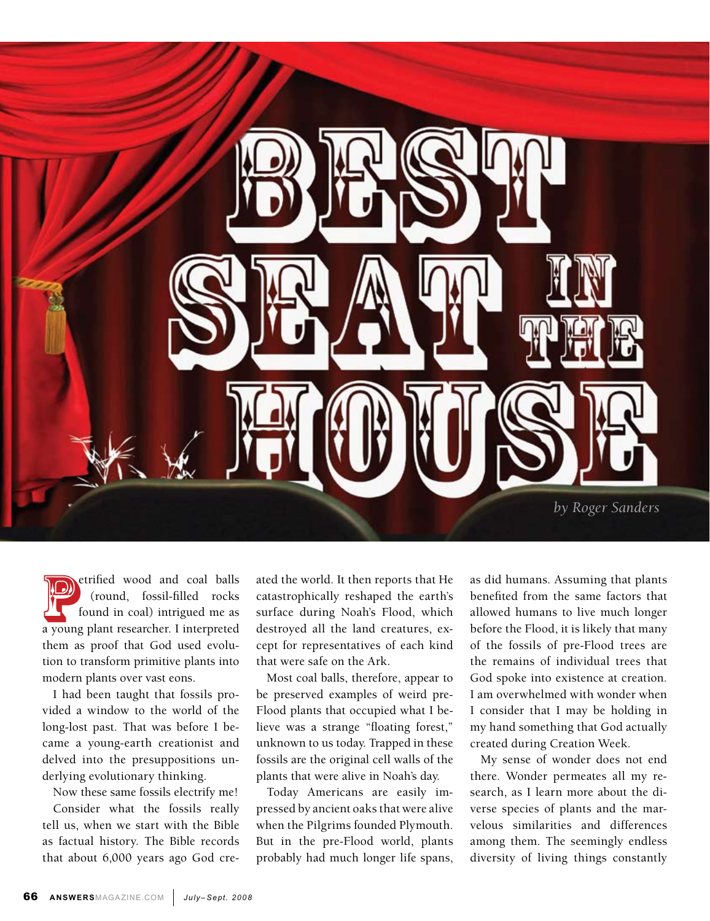

etrified wood and coal balls<br>
(round, fossil-filled rocks<br>
found in coal) intrigued me as<br>
a young plant researcher. I interpreted (round, fossil-filled rocks found in coal) intrigued me as them as proof that God used evolution to transform primitive plants into modern plants over vast eons.

I had been taught that fossils provided a window to the world of the long-lost past. That was before I became a young-earth creationist and delved into the presuppositions underlying evolutionary thinking.

Now these same fossils electrify me!

Consider what the fossils really tell us, when we start with the Bible as factual history. The Bible records that about 6,000 years ago God created the world. It then reports that He catastrophically reshaped the earth's surface during Noah's Flood, which destroyed all the land creatures, except for representatives of each kind that were safe on the Ark.

Most coal balls, therefore, appear to be preserved examples of weird pre-Flood plants that occupied what I believe was a strange "floating forest," unknown to us today. Trapped in these fossils are the original cell walls of the plants that were alive in Noah's day.

Today Americans are easily impressed by ancient oaks that were alive when the Pilgrims founded Plymouth. But in the pre-Flood world, plants probably had much longer life spans, as did humans. Assuming that plants benefited from the same factors that allowed humans to live much longer before the Flood, it is likely that many of the fossils of pre-Flood trees are the remains of individual trees that God spoke into existence at creation. I am overwhelmed with wonder when I consider that I may be holding in my hand something that God actually created during Creation Week.

My sense of wonder does not end there. Wonder permeates all my research, as I learn more about the diverse species of plants and the marvelous similarities and differences among them. The seemingly endless diversity of living things constantly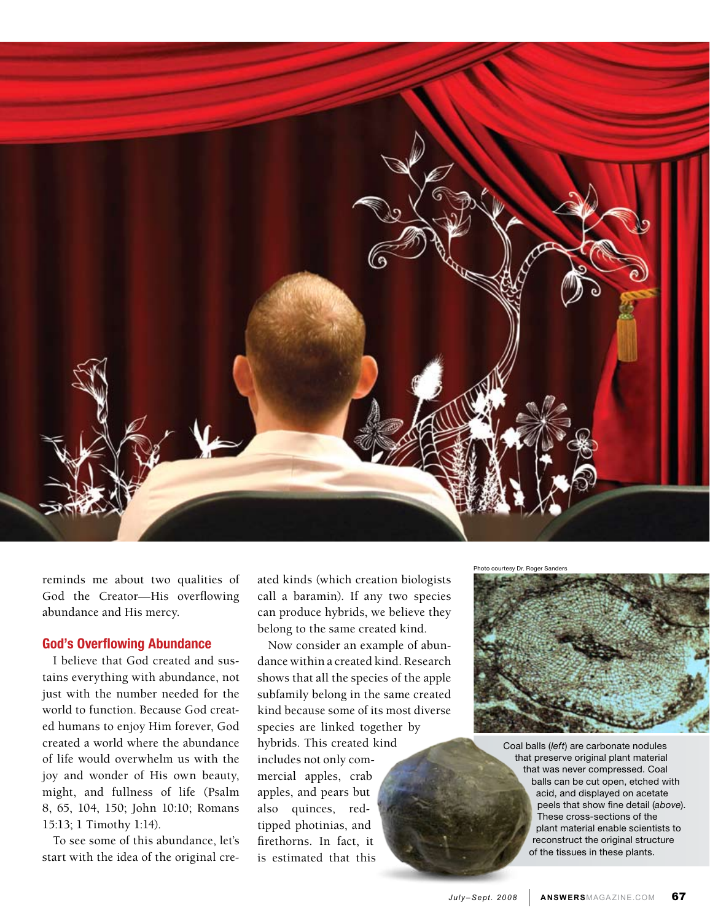

reminds me about two qualities of God the Creator—His overflowing abundance and His mercy.

## God's Overflowing Abundance

I believe that God created and sustains everything with abundance, not just with the number needed for the world to function. Because God created humans to enjoy Him forever, God created a world where the abundance of life would overwhelm us with the joy and wonder of His own beauty, might, and fullness of life (Psalm 8, 65, 104, 150; John 10:10; Romans 15:13; 1 Timothy 1:14).

To see some of this abundance, let's start with the idea of the original created kinds (which creation biologists call a baramin). If any two species can produce hybrids, we believe they belong to the same created kind.

Now consider an example of abundance within a created kind. Research shows that all the species of the apple subfamily belong in the same created kind because some of its most diverse species are linked together by hybrids. This created kind includes not only commercial apples, crab apples, and pears but also quinces, redtipped photinias, and firethorns. In fact, it is estimated that this

Photo courtesy Dr. Roger Sanders



Coal balls (*left*) are carbonate nodules that preserve original plant material that was never compressed. Coal balls can be cut open, etched with acid, and displayed on acetate peels that show fine detail (*above*). These cross-sections of the plant material enable scientists to reconstruct the original structure of the tissues in these plants.